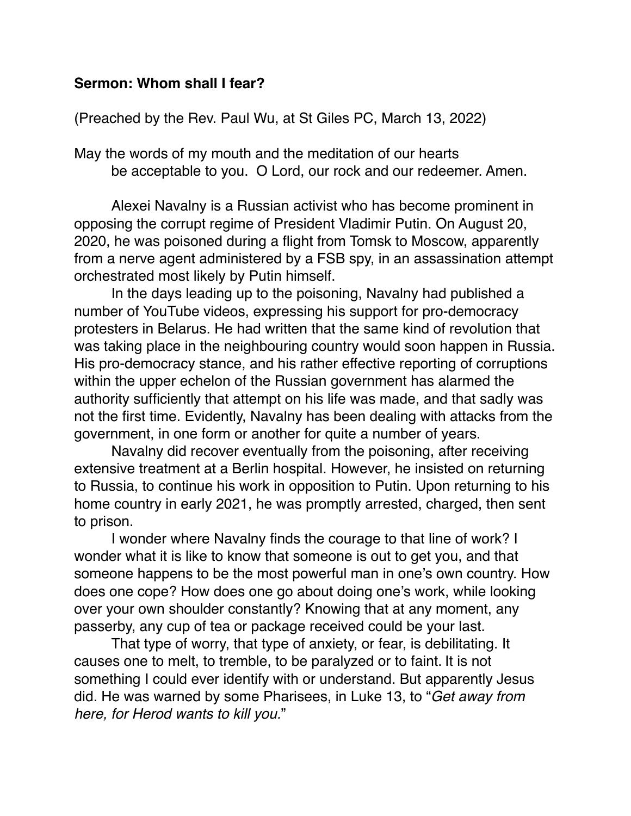## **Sermon: Whom shall I fear?**

(Preached by the Rev. Paul Wu, at St Giles PC, March 13, 2022)

May the words of my mouth and the meditation of our hearts be acceptable to you. O Lord, our rock and our redeemer. Amen.

Alexei Navalny is a Russian activist who has become prominent in opposing the corrupt regime of President Vladimir Putin. On August 20, 2020, he was poisoned during a flight from Tomsk to Moscow, apparently from a nerve agent administered by a FSB spy, in an assassination attempt orchestrated most likely by Putin himself.

In the days leading up to the poisoning, Navalny had published a number of YouTube videos, expressing his support for pro-democracy protesters in Belarus. He had written that the same kind of revolution that was taking place in the neighbouring country would soon happen in Russia. His pro-democracy stance, and his rather effective reporting of corruptions within the upper echelon of the Russian government has alarmed the authority sufficiently that attempt on his life was made, and that sadly was not the first time. Evidently, Navalny has been dealing with attacks from the government, in one form or another for quite a number of years.

Navalny did recover eventually from the poisoning, after receiving extensive treatment at a Berlin hospital. However, he insisted on returning to Russia, to continue his work in opposition to Putin. Upon returning to his home country in early 2021, he was promptly arrested, charged, then sent to prison.

I wonder where Navalny finds the courage to that line of work? I wonder what it is like to know that someone is out to get you, and that someone happens to be the most powerful man in one's own country. How does one cope? How does one go about doing one's work, while looking over your own shoulder constantly? Knowing that at any moment, any passerby, any cup of tea or package received could be your last.

That type of worry, that type of anxiety, or fear, is debilitating. It causes one to melt, to tremble, to be paralyzed or to faint. It is not something I could ever identify with or understand. But apparently Jesus did. He was warned by some Pharisees, in Luke 13, to "*Get away from here, for Herod wants to kill you.*"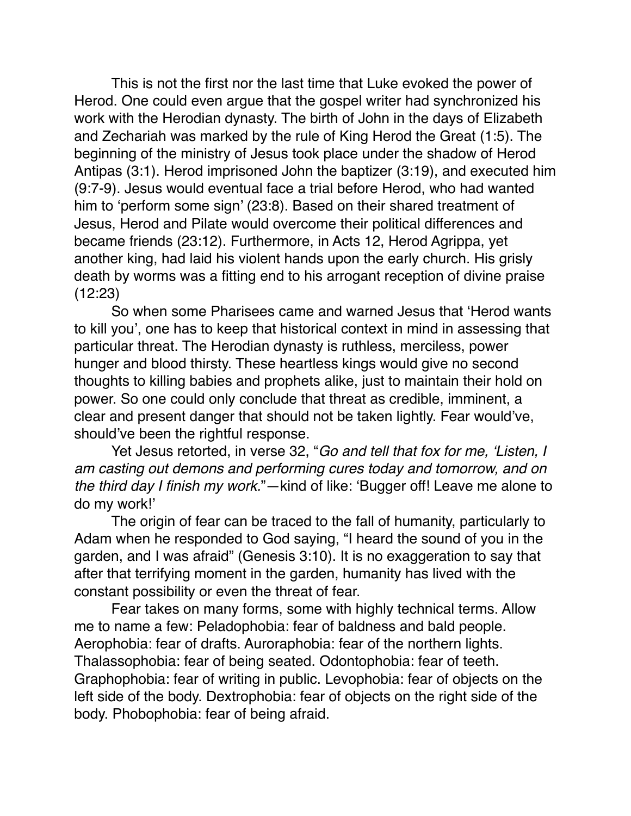This is not the first nor the last time that Luke evoked the power of Herod. One could even argue that the gospel writer had synchronized his work with the Herodian dynasty. The birth of John in the days of Elizabeth and Zechariah was marked by the rule of King Herod the Great (1:5). The beginning of the ministry of Jesus took place under the shadow of Herod Antipas (3:1). Herod imprisoned John the baptizer (3:19), and executed him (9:7-9). Jesus would eventual face a trial before Herod, who had wanted him to 'perform some sign' (23:8). Based on their shared treatment of Jesus, Herod and Pilate would overcome their political differences and became friends (23:12). Furthermore, in Acts 12, Herod Agrippa, yet another king, had laid his violent hands upon the early church. His grisly death by worms was a fitting end to his arrogant reception of divine praise (12:23)

So when some Pharisees came and warned Jesus that 'Herod wants to kill you', one has to keep that historical context in mind in assessing that particular threat. The Herodian dynasty is ruthless, merciless, power hunger and blood thirsty. These heartless kings would give no second thoughts to killing babies and prophets alike, just to maintain their hold on power. So one could only conclude that threat as credible, imminent, a clear and present danger that should not be taken lightly. Fear would've, should've been the rightful response.

Yet Jesus retorted, in verse 32, "*Go and tell that fox for me, 'Listen, I am casting out demons and performing cures today and tomorrow, and on the third day I finish my work.*"—kind of like: 'Bugger off! Leave me alone to do my work!'

The origin of fear can be traced to the fall of humanity, particularly to Adam when he responded to God saying, "I heard the sound of you in the garden, and I was afraid" (Genesis 3:10). It is no exaggeration to say that after that terrifying moment in the garden, humanity has lived with the constant possibility or even the threat of fear.

Fear takes on many forms, some with highly technical terms. Allow me to name a few: Peladophobia: fear of baldness and bald people. Aerophobia: fear of drafts. Auroraphobia: fear of the northern lights. Thalassophobia: fear of being seated. Odontophobia: fear of teeth. Graphophobia: fear of writing in public. Levophobia: fear of objects on the left side of the body. Dextrophobia: fear of objects on the right side of the body. Phobophobia: fear of being afraid.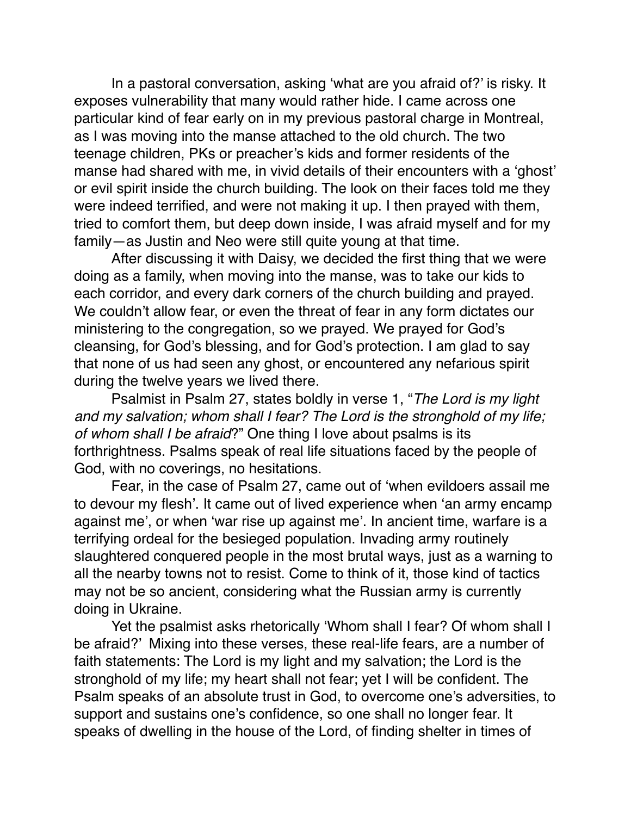In a pastoral conversation, asking 'what are you afraid of?' is risky. It exposes vulnerability that many would rather hide. I came across one particular kind of fear early on in my previous pastoral charge in Montreal, as I was moving into the manse attached to the old church. The two teenage children, PKs or preacher's kids and former residents of the manse had shared with me, in vivid details of their encounters with a 'ghost' or evil spirit inside the church building. The look on their faces told me they were indeed terrified, and were not making it up. I then prayed with them, tried to comfort them, but deep down inside, I was afraid myself and for my family—as Justin and Neo were still quite young at that time.

After discussing it with Daisy, we decided the first thing that we were doing as a family, when moving into the manse, was to take our kids to each corridor, and every dark corners of the church building and prayed. We couldn't allow fear, or even the threat of fear in any form dictates our ministering to the congregation, so we prayed. We prayed for God's cleansing, for God's blessing, and for God's protection. I am glad to say that none of us had seen any ghost, or encountered any nefarious spirit during the twelve years we lived there.

Psalmist in Psalm 27, states boldly in verse 1, "*The Lord is my light and my salvation; whom shall I fear? The Lord is the stronghold of my life; of whom shall I be afraid*?" One thing I love about psalms is its forthrightness. Psalms speak of real life situations faced by the people of God, with no coverings, no hesitations.

Fear, in the case of Psalm 27, came out of 'when evildoers assail me to devour my flesh'. It came out of lived experience when 'an army encamp against me', or when 'war rise up against me'. In ancient time, warfare is a terrifying ordeal for the besieged population. Invading army routinely slaughtered conquered people in the most brutal ways, just as a warning to all the nearby towns not to resist. Come to think of it, those kind of tactics may not be so ancient, considering what the Russian army is currently doing in Ukraine.

Yet the psalmist asks rhetorically 'Whom shall I fear? Of whom shall I be afraid?' Mixing into these verses, these real-life fears, are a number of faith statements: The Lord is my light and my salvation; the Lord is the stronghold of my life; my heart shall not fear; yet I will be confident. The Psalm speaks of an absolute trust in God, to overcome one's adversities, to support and sustains one's confidence, so one shall no longer fear. It speaks of dwelling in the house of the Lord, of finding shelter in times of